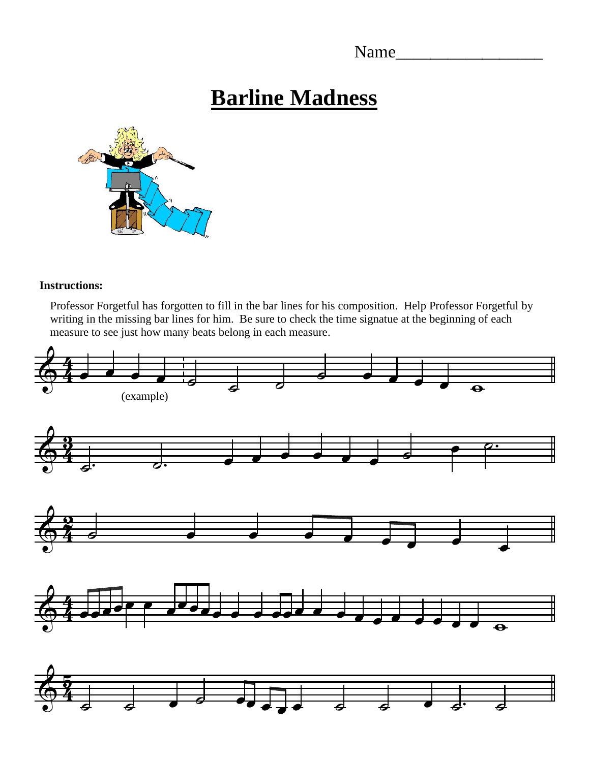Name\_\_\_\_\_\_\_\_\_\_\_\_\_\_\_\_\_

## **Barline Madness**



## **Instructions:**

Professor Forgetful has forgotten to fill in the bar lines for his composition. Help Professor Forgetful by writing in the missing bar lines for him. Be sure to check the time signatue at the beginning of each measure to see just how many beats belong in each measure.